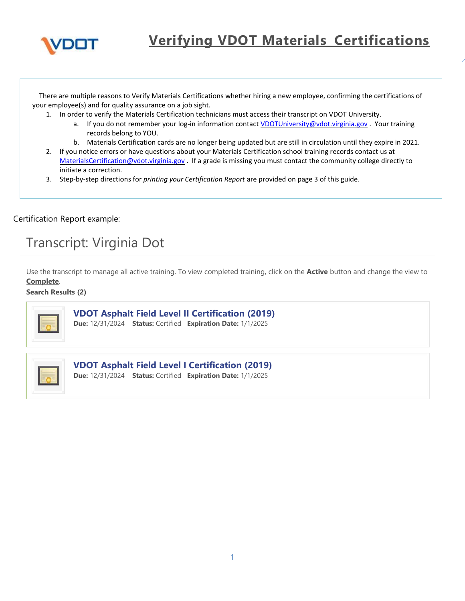

There are multiple reasons to Verify Materials Certifications whether hiring a new employee, confirming the certifications of your employee(s) and for quality assurance on a job sight.

- 1. In order to verify the Materials Certification technicians must access their transcript on VDOT University.
	- a. If you do not remember your log-in information contact [VDOTUniversity@vdot.virginia.gov](mailto:VDOTUniversity@vdot.virginia.gov) . Your training records belong to YOU.
	- b. Materials Certification cards are no longer being updated but are still in circulation until they expire in 2021.
- 2. If you notice errors or have questions about your Materials Certification school training records contact us at [MaterialsCertification@vdot.virginia.gov](mailto:MaterialsCertification@vdot.virginia.gov) . If a grade is missing you must contact the community college directly to initiate a correction.
- 3. Step-by-step directions for *printing your Certification Report* are provided on page 3 of this guide.

Certification Report example:

# Transcript: Virginia Dot

Use the transcript to manage all active training. To view completed training, click on the **Active** button and change the view to **Complete**.

**Search Results ﴾2﴿**



## **VDOT Asphalt Field Level II Certification (2019)**

**Due:** 12/31/2024 **Status:** Certified **Expiration Date:** 1/1/2025



### **YDOT Asphalt Field Level I Certification (2019)**

**Due:** 12/31/2024 **Status:** Certified **Expiration Date:** 1/1/2025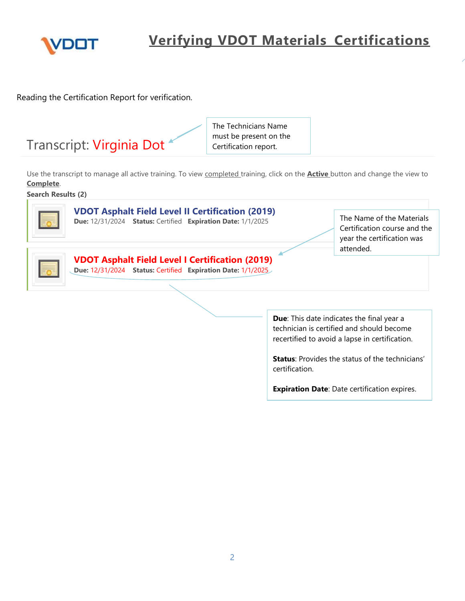

Reading the Certification Report for verification.

| Transcript: Virginia Dot <sup>*</sup> | The Technicians Name<br>must be present on the<br>Certification report. |
|---------------------------------------|-------------------------------------------------------------------------|
|                                       |                                                                         |

Use the transcript to manage all active training. To view completed training, click on the **Active** button and change the view to **Complete**.

**Search Results ﴾2﴿**



**82011 Asphalt Field Level II Certification (2019)** 

**Due:** 12/31/2024 **Status:** Certified **Expiration Date:** 1/1/2025

The Name of the Materials Certification course and the year the certification was attended.



**Due:** 12/31/2024 **Status:** Certified **Expiration Date:** 1/1/2025

**Due**: This date indicates the final year a technician is certified and should become recertified to avoid a lapse in certification.

**Status**: Provides the status of the technicians' certification.

**Expiration Date**: Date certification expires.